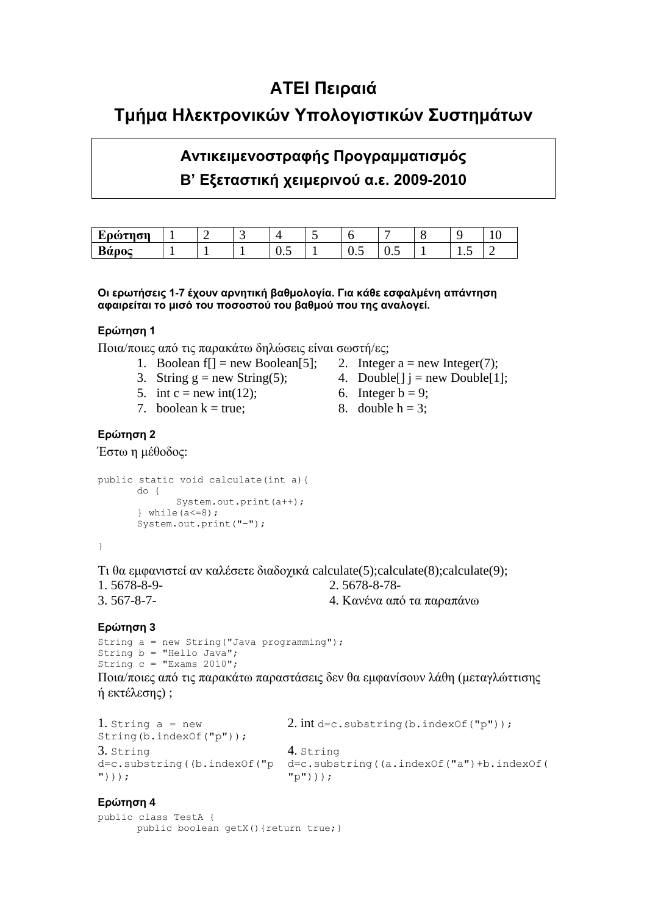## **ΑΤΕΙ Πειραιά**

## **Τμήμα Ηλεκτρονικών Υπολογιστικών Συστημάτων**

# **Αντικειμενοστραφής Προγραμματισμός Β' Εξεταστική χειμερινού α.ε. 2009-2010**

| ш<br>LOOTNON |  | -<br>ັ |           |                              |                                    |                 | - |
|--------------|--|--------|-----------|------------------------------|------------------------------------|-----------------|---|
| Βάρος        |  |        | --<br>∪.∪ | -<br>$\mathsf{v}.\mathsf{v}$ | -<br>$\mathsf{v} \cdot \mathsf{v}$ | $\cdot$ $\cdot$ | ∼ |

#### Οι ερωτήσεις 1-7 έχουν αρνητική βαθμολογία. Για κάθε εσφαλμένη απάντηση **αυαιπείται το μισό τος ποσοστού τος βαθμού πος τηρ αναλογεί.**

### **Επώτηση 1**

Ποια/ποιες από τις παρακάτω δηλώσεις είναι σωστή/ες;

- 1. Boolean f[] = new Boolean[5]; 2. Integer  $a = new Integer(7)$ ;
- 3. String  $g = new String(5);$  4. Double[]  $j = new Double[1];$
- 5. int c = new int(12); 6. Integer b = 9;
- 7. boolean  $k = true$ ; 8. double h = 3;
- **Ερώτηση 2**

Έστω η μέθοδος:

```
public static void calculate(int a){
      do {
              System.out.print(a++);
       } while(a \leq =8);
       System.out.print("-");
```
}

Τι θα εμφανιστεί αν καλέσετε διαδοχικά calculate(5);calculate(8);calculate(9); 1. 5678-8-9- 2. 5678-8-78- 3. 567-8-7-  $4.$  Κανένα από τα παραπάνω

## **Επώτηση 3**

```
String a = new String("Java programming");
String b = "Hello Java";
String c = "Exams 2010";
```
Ποια/ποιες από τις παρακάτω παραστάσεις δεν θα εμφανίσουν λάθη (μεταγλώττισης ή εκτέλεσης) ;

```
1. String a = newString(b.indexOf("p"));
                              2. int d=c.substring(b.indexOf("p"));
3. String 
d=c.substring((b.indexOf("p
d=c.substring((a.indexOf("a")+b.indexOf(
")));
                              4. String 
                              "p")));
```
#### **Επώτηση 4**

```
public class TestA {
      public boolean getX(){return true;}
```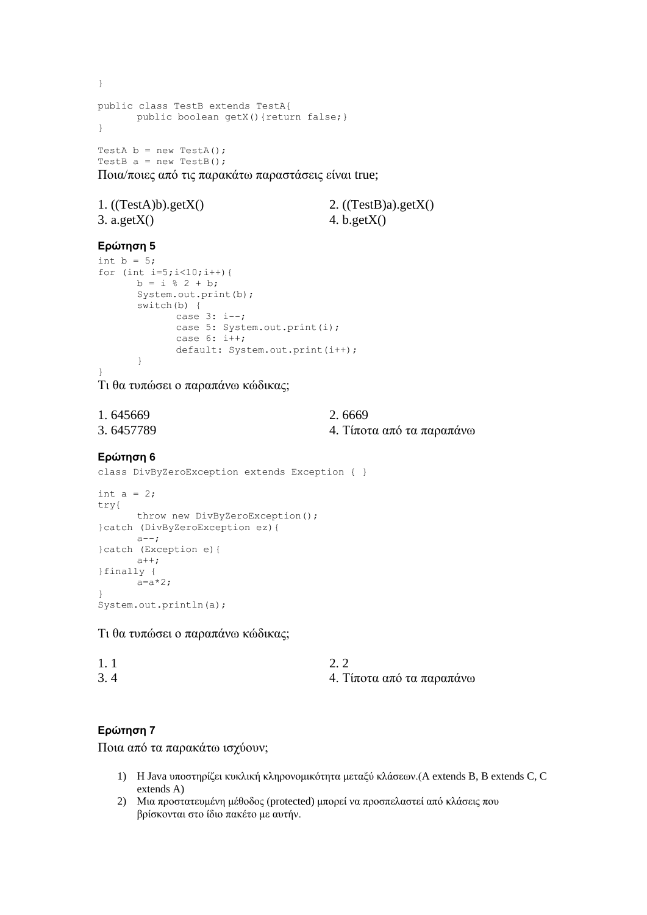} public class TestB extends TestA{ public boolean getX(){return false;} } TestA  $b = new TestA()$ ; TestB  $a = new TestB()$ ;

Ποια/ποιες από τις παρακάτω παραστάσεις είναι true;

| 1. $((TestA)b).getX()$ | 2. $((TestB)a).getX()$ |
|------------------------|------------------------|
| $3. \text{ a.getX}()$  | 4. b.get $X()$         |

### **Επώτηση 5**

```
int b = 5;
for (int i=5; i<10; i++) {
      b = i % 2 + b;
      System.out.print(b);
       switch(b) {
              case 3: i--;
              case 5: System.out.print(i);
             case 6: i++);
             default: System.out.print(i++);
       }
}
```
Τι θα τυπώσει ο παραπάνω κώδικας;

| 1.645669  | 2.6669                    |
|-----------|---------------------------|
| 3.6457789 | 4. Τίποτα από τα παραπάνω |

#### **Επώτηση 6**

class DivByZeroException extends Exception { }

```
int a = 2;
try{
      throw new DivByZeroException();
}catch (DivByZeroException ez){
      a--;
}catch (Exception e){
      a++;
}finally {
      a=a*2;}
System.out.println(a);
```
Τι θα τυπώσει ο παραπάνω κώδικας;

| 1.1 |                           |
|-----|---------------------------|
| 3.4 | 4. Τίποτα από τα παραπάνω |

### **Επώτηση 7**

Ποια από τα παρακάτω ισχύουν;

- 1) Η Java υποστηρίζει κυκλική κληρονομικότητα μεταξύ κλάσεων.(A extends B, B extends C, C extends A)
- 2) Μια προστατευμένη μέθοδος (protected) μπορεί να προσπελαστεί από κλάσεις που βρίσκονται στο ίδιο πακέτο με αυτήν.